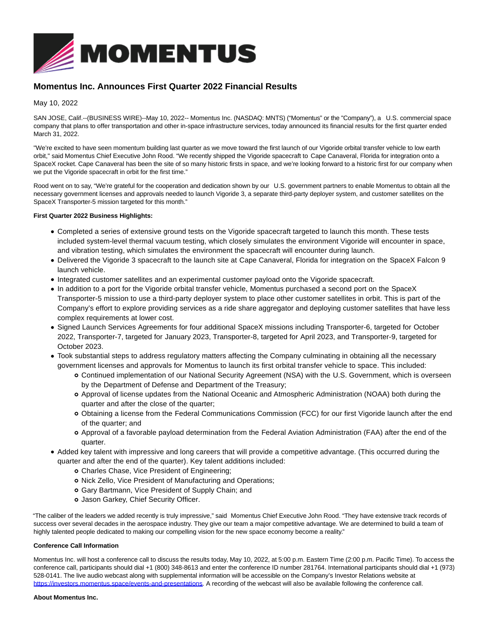

# **Momentus Inc. Announces First Quarter 2022 Financial Results**

May 10, 2022

SAN JOSE, Calif.--(BUSINESS WIRE)--May 10, 2022-- Momentus Inc. (NASDAQ: MNTS) ("Momentus" or the "Company"), a U.S. commercial space company that plans to offer transportation and other in-space infrastructure services, today announced its financial results for the first quarter ended March 31, 2022.

"We're excited to have seen momentum building last quarter as we move toward the first launch of our Vigoride orbital transfer vehicle to low earth orbit," said Momentus Chief Executive John Rood. "We recently shipped the Vigoride spacecraft to Cape Canaveral, Florida for integration onto a SpaceX rocket. Cape Canaveral has been the site of so many historic firsts in space, and we're looking forward to a historic first for our company when we put the Vigoride spacecraft in orbit for the first time."

Rood went on to say, "We're grateful for the cooperation and dedication shown by our U.S. government partners to enable Momentus to obtain all the necessary government licenses and approvals needed to launch Vigoride 3, a separate third-party deployer system, and customer satellites on the SpaceX Transporter-5 mission targeted for this month."

# **First Quarter 2022 Business Highlights:**

- Completed a series of extensive ground tests on the Vigoride spacecraft targeted to launch this month. These tests included system-level thermal vacuum testing, which closely simulates the environment Vigoride will encounter in space, and vibration testing, which simulates the environment the spacecraft will encounter during launch.
- Delivered the Vigoride 3 spacecraft to the launch site at Cape Canaveral, Florida for integration on the SpaceX Falcon 9 launch vehicle.
- Integrated customer satellites and an experimental customer payload onto the Vigoride spacecraft.
- In addition to a port for the Vigoride orbital transfer vehicle, Momentus purchased a second port on the SpaceX Transporter-5 mission to use a third-party deployer system to place other customer satellites in orbit. This is part of the Company's effort to explore providing services as a ride share aggregator and deploying customer satellites that have less complex requirements at lower cost.
- Signed Launch Services Agreements for four additional SpaceX missions including Transporter-6, targeted for October 2022, Transporter-7, targeted for January 2023, Transporter-8, targeted for April 2023, and Transporter-9, targeted for October 2023.
- Took substantial steps to address regulatory matters affecting the Company culminating in obtaining all the necessary government licenses and approvals for Momentus to launch its first orbital transfer vehicle to space. This included:
	- Continued implementation of our National Security Agreement (NSA) with the U.S. Government, which is overseen by the Department of Defense and Department of the Treasury;
	- Approval of license updates from the National Oceanic and Atmospheric Administration (NOAA) both during the quarter and after the close of the quarter;
	- Obtaining a license from the Federal Communications Commission (FCC) for our first Vigoride launch after the end of the quarter; and
	- Approval of a favorable payload determination from the Federal Aviation Administration (FAA) after the end of the quarter.
- Added key talent with impressive and long careers that will provide a competitive advantage. (This occurred during the quarter and after the end of the quarter). Key talent additions included:
	- Charles Chase, Vice President of Engineering;
	- o Nick Zello, Vice President of Manufacturing and Operations;
	- Gary Bartmann, Vice President of Supply Chain; and
	- Jason Garkey, Chief Security Officer.

"The caliber of the leaders we added recently is truly impressive," said Momentus Chief Executive John Rood. "They have extensive track records of success over several decades in the aerospace industry. They give our team a major competitive advantage. We are determined to build a team of highly talented people dedicated to making our compelling vision for the new space economy become a reality."

## **Conference Call Information**

Momentus Inc. will host a conference call to discuss the results today, May 10, 2022, at 5:00 p.m. Eastern Time (2:00 p.m. Pacific Time). To access the conference call, participants should dial +1 (800) 348-8613 and enter the conference ID number 281764. International participants should dial +1 (973) 528-0141. The live audio webcast along with supplemental information will be accessible on the Company's Investor Relations website at [https://investors.momentus.space/events-and-presentations.](https://cts.businesswire.com/ct/CT?id=smartlink&url=https%3A%2F%2Finvestors.momentus.space%2Fevents-and-presentations&esheet=52714983&newsitemid=20220510006388&lan=en-US&anchor=https%3A%2F%2Finvestors.momentus.space%2Fevents-and-presentations&index=1&md5=6bd03aa0f965eaf3f71bedbee90f77a8) A recording of the webcast will also be available following the conference call.

## **About Momentus Inc.**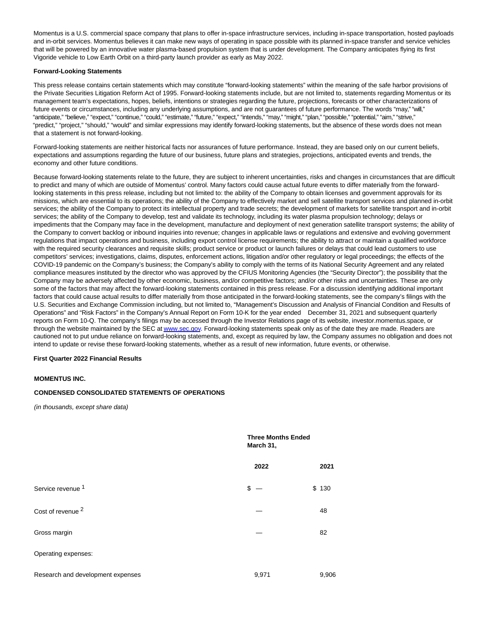Momentus is a U.S. commercial space company that plans to offer in-space infrastructure services, including in-space transportation, hosted payloads and in-orbit services. Momentus believes it can make new ways of operating in space possible with its planned in-space transfer and service vehicles that will be powered by an innovative water plasma-based propulsion system that is under development. The Company anticipates flying its first Vigoride vehicle to Low Earth Orbit on a third-party launch provider as early as May 2022.

## **Forward-Looking Statements**

This press release contains certain statements which may constitute "forward-looking statements" within the meaning of the safe harbor provisions of the Private Securities Litigation Reform Act of 1995. Forward-looking statements include, but are not limited to, statements regarding Momentus or its management team's expectations, hopes, beliefs, intentions or strategies regarding the future, projections, forecasts or other characterizations of future events or circumstances, including any underlying assumptions, and are not guarantees of future performance. The words "may," "will," "anticipate," "believe," "expect," "continue," "could," "estimate," "future," "expect," "intends," "may," "might," "plan," "possible," "potential," "aim," "strive," "predict," "project," "should," "would" and similar expressions may identify forward-looking statements, but the absence of these words does not mean that a statement is not forward-looking.

Forward-looking statements are neither historical facts nor assurances of future performance. Instead, they are based only on our current beliefs, expectations and assumptions regarding the future of our business, future plans and strategies, projections, anticipated events and trends, the economy and other future conditions.

Because forward-looking statements relate to the future, they are subject to inherent uncertainties, risks and changes in circumstances that are difficult to predict and many of which are outside of Momentus' control. Many factors could cause actual future events to differ materially from the forwardlooking statements in this press release, including but not limited to: the ability of the Company to obtain licenses and government approvals for its missions, which are essential to its operations; the ability of the Company to effectively market and sell satellite transport services and planned in-orbit services; the ability of the Company to protect its intellectual property and trade secrets; the development of markets for satellite transport and in-orbit services; the ability of the Company to develop, test and validate its technology, including its water plasma propulsion technology; delays or impediments that the Company may face in the development, manufacture and deployment of next generation satellite transport systems; the ability of the Company to convert backlog or inbound inquiries into revenue; changes in applicable laws or regulations and extensive and evolving government regulations that impact operations and business, including export control license requirements; the ability to attract or maintain a qualified workforce with the required security clearances and requisite skills; product service or product or launch failures or delays that could lead customers to use competitors' services; investigations, claims, disputes, enforcement actions, litigation and/or other regulatory or legal proceedings; the effects of the COVID-19 pandemic on the Company's business; the Company's ability to comply with the terms of its National Security Agreement and any related compliance measures instituted by the director who was approved by the CFIUS Monitoring Agencies (the "Security Director"); the possibility that the Company may be adversely affected by other economic, business, and/or competitive factors; and/or other risks and uncertainties. These are only some of the factors that may affect the forward-looking statements contained in this press release. For a discussion identifying additional important factors that could cause actual results to differ materially from those anticipated in the forward-looking statements, see the company's filings with the U.S. Securities and Exchange Commission including, but not limited to, "Management's Discussion and Analysis of Financial Condition and Results of Operations" and "Risk Factors" in the Company's Annual Report on Form 10-K for the year ended December 31, 2021 and subsequent quarterly reports on Form 10-Q. The company's filings may be accessed through the Investor Relations page of its website, investor.momentus.space, or through the website maintained by the SEC a[t www.sec.gov.](https://cts.businesswire.com/ct/CT?id=smartlink&url=http%3A%2F%2Fwww.sec.gov&esheet=52714983&newsitemid=20220510006388&lan=en-US&anchor=www.sec.gov&index=2&md5=d24ba9247c0bb655eef635883edda21c) Forward-looking statements speak only as of the date they are made. Readers are cautioned not to put undue reliance on forward-looking statements, and, except as required by law, the Company assumes no obligation and does not intend to update or revise these forward-looking statements, whether as a result of new information, future events, or otherwise.

## **First Quarter 2022 Financial Results**

## **MOMENTUS INC.**

## **CONDENSED CONSOLIDATED STATEMENTS OF OPERATIONS**

(in thousands, except share data)

|                                   | <b>Three Months Ended</b><br>March 31, |       |  |       |
|-----------------------------------|----------------------------------------|-------|--|-------|
|                                   |                                        | 2022  |  | 2021  |
| Service revenue <sup>1</sup>      | $s -$                                  |       |  | \$130 |
| Cost of revenue <sup>2</sup>      |                                        |       |  | 48    |
| Gross margin                      |                                        |       |  | 82    |
| Operating expenses:               |                                        |       |  |       |
| Research and development expenses |                                        | 9,971 |  | 9,906 |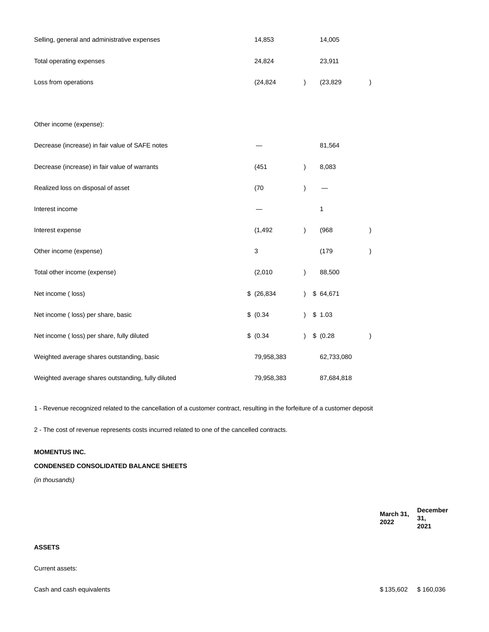| Selling, general and administrative expenses       | 14,853      |               | 14,005     |               |
|----------------------------------------------------|-------------|---------------|------------|---------------|
| Total operating expenses                           | 24,824      |               | 23,911     |               |
| Loss from operations                               | (24, 824)   | $\mathcal{E}$ | (23, 829)  | $\mathcal{C}$ |
|                                                    |             |               |            |               |
| Other income (expense):                            |             |               |            |               |
| Decrease (increase) in fair value of SAFE notes    |             |               | 81,564     |               |
| Decrease (increase) in fair value of warrants      | (451)       | $\mathcal{E}$ | 8,083      |               |
| Realized loss on disposal of asset                 | (70)        | $\mathcal{E}$ |            |               |
| Interest income                                    |             |               | 1          |               |
| Interest expense                                   | (1, 492)    | $\mathcal{E}$ | (968)      | $\big)$       |
| Other income (expense)                             | 3           |               | (179)      | $\mathcal{E}$ |
| Total other income (expense)                       | (2,010)     | $\lambda$     | 88,500     |               |
| Net income (loss)                                  | \$ (26,834) | $\lambda$     | \$ 64,671  |               |
| Net income (loss) per share, basic                 | \$ (0.34)   | $\lambda$     | \$1.03     |               |
| Net income (loss) per share, fully diluted         | \$ (0.34)   | $\mathcal{E}$ | \$ (0.28)  | $\mathcal{E}$ |
| Weighted average shares outstanding, basic         | 79,958,383  |               | 62,733,080 |               |
| Weighted average shares outstanding, fully diluted | 79,958,383  |               | 87,684,818 |               |

1 - Revenue recognized related to the cancellation of a customer contract, resulting in the forfeiture of a customer deposit

2 - The cost of revenue represents costs incurred related to one of the cancelled contracts.

# **MOMENTUS INC.**

# **CONDENSED CONSOLIDATED BALANCE SHEETS**

(in thousands)

**March 31, 2022 December 31, 2021**

# **ASSETS**

Current assets:

Cash and cash equivalents **\$ 155,602** \$ 160,036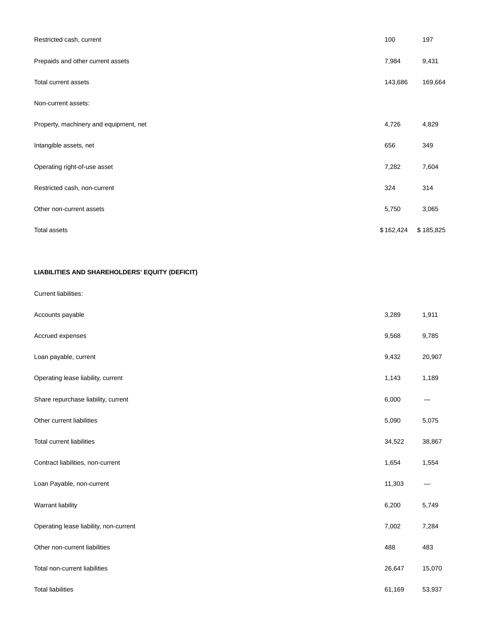| Restricted cash, current               | 100       | 197       |
|----------------------------------------|-----------|-----------|
| Prepaids and other current assets      | 7,984     | 9,431     |
| Total current assets                   | 143,686   | 169,664   |
| Non-current assets:                    |           |           |
| Property, machinery and equipment, net | 4,726     | 4,829     |
| Intangible assets, net                 | 656       | 349       |
| Operating right-of-use asset           | 7,282     | 7,604     |
| Restricted cash, non-current           | 324       | 314       |
| Other non-current assets               | 5,750     | 3,065     |
| Total assets                           | \$162,424 | \$185,825 |

# **LIABILITIES AND SHAREHOLDERS' EQUITY (DEFICIT)**

# Current liabilities:

| Accounts payable                       | 3,289  | 1,911  |
|----------------------------------------|--------|--------|
| Accrued expenses                       | 9,568  | 9,785  |
| Loan payable, current                  | 9,432  | 20,907 |
| Operating lease liability, current     | 1,143  | 1,189  |
| Share repurchase liability, current    | 6,000  |        |
| Other current liabilities              | 5,090  | 5,075  |
| <b>Total current liabilities</b>       | 34,522 | 38,867 |
| Contract liabilities, non-current      | 1,654  | 1,554  |
| Loan Payable, non-current              | 11,303 |        |
| Warrant liability                      | 6,200  | 5,749  |
| Operating lease liability, non-current | 7,002  | 7,284  |
| Other non-current liabilities          | 488    | 483    |
| Total non-current liabilities          | 26,647 | 15,070 |
| <b>Total liabilities</b>               | 61,169 | 53,937 |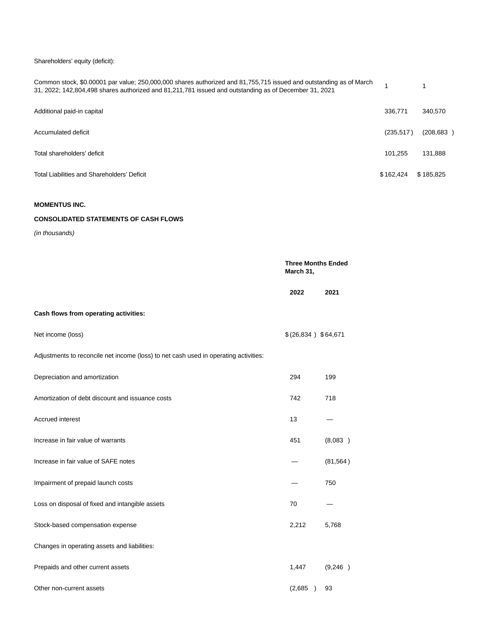# Shareholders' equity (deficit):

| Common stock, \$0.00001 par value; 250,000,000 shares authorized and 81,755,715 issued and outstanding as of March<br>31, 2022; 142,804,498 shares authorized and 81,211,781 issued and outstanding as of December 31, 2021 |            |            |
|-----------------------------------------------------------------------------------------------------------------------------------------------------------------------------------------------------------------------------|------------|------------|
| Additional paid-in capital                                                                                                                                                                                                  | 336.771    | 340.570    |
| Accumulated deficit                                                                                                                                                                                                         | (235, 517) | (208, 683) |
| Total shareholders' deficit                                                                                                                                                                                                 | 101.255    | 131.888    |
| Total Liabilities and Shareholders' Deficit                                                                                                                                                                                 | \$162.424  | \$185,825  |
|                                                                                                                                                                                                                             |            |            |

# **MOMENTUS INC.**

# **CONSOLIDATED STATEMENTS OF CASH FLOWS**

(in thousands)

|                                                                                      | <b>Three Months Ended</b><br>March 31, |           |  |  |
|--------------------------------------------------------------------------------------|----------------------------------------|-----------|--|--|
|                                                                                      | 2022                                   | 2021      |  |  |
| Cash flows from operating activities:                                                |                                        |           |  |  |
| Net income (loss)                                                                    | \$ (26,834 ) \$64,671                  |           |  |  |
| Adjustments to reconcile net income (loss) to net cash used in operating activities: |                                        |           |  |  |
| Depreciation and amortization                                                        | 294                                    | 199       |  |  |
| Amortization of debt discount and issuance costs                                     | 742                                    | 718       |  |  |
| Accrued interest                                                                     | 13                                     |           |  |  |
| Increase in fair value of warrants                                                   | 451                                    | (8,083)   |  |  |
| Increase in fair value of SAFE notes                                                 |                                        | (81, 564) |  |  |
| Impairment of prepaid launch costs                                                   |                                        | 750       |  |  |
| Loss on disposal of fixed and intangible assets                                      | 70                                     |           |  |  |
| Stock-based compensation expense                                                     | 2,212                                  | 5,768     |  |  |
| Changes in operating assets and liabilities:                                         |                                        |           |  |  |
| Prepaids and other current assets                                                    | 1,447                                  | (9,246)   |  |  |
| Other non-current assets                                                             | (2,685)                                | 93        |  |  |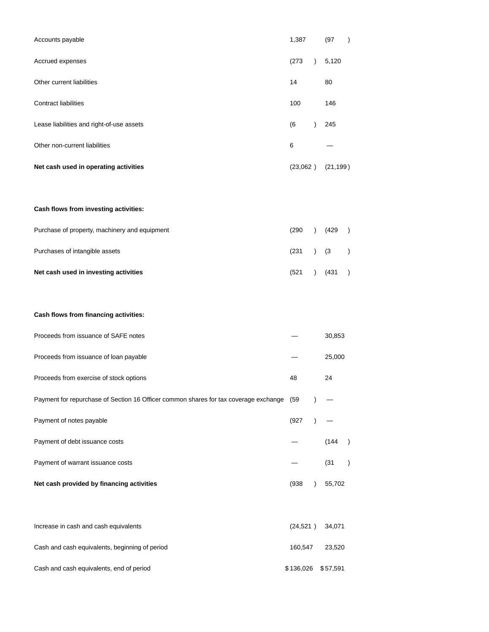| Accounts payable                                                                     | 1,387 |           | (97       | $\lambda$     |
|--------------------------------------------------------------------------------------|-------|-----------|-----------|---------------|
| Accrued expenses                                                                     | (273) | $\lambda$ | 5,120     |               |
| Other current liabilities                                                            | 14    |           | 80        |               |
| <b>Contract liabilities</b>                                                          | 100   |           | 146       |               |
| Lease liabilities and right-of-use assets                                            | (6    | $\lambda$ | 245       |               |
| Other non-current liabilities                                                        | 6     |           |           |               |
| Net cash used in operating activities                                                |       |           | (21, 199) |               |
|                                                                                      |       |           |           |               |
| Cash flows from investing activities:                                                |       |           |           |               |
| Purchase of property, machinery and equipment                                        | (290) | $\lambda$ | (429)     | $\lambda$     |
| Purchases of intangible assets                                                       | (231) | $\lambda$ | (3)       | $\mathcal{E}$ |
| Net cash used in investing activities                                                | (521) | $\lambda$ | (431)     | $\mathcal{L}$ |
|                                                                                      |       |           |           |               |
| Cash flows from financing activities:                                                |       |           |           |               |
| Proceeds from issuance of SAFE notes                                                 |       |           | 30,853    |               |
| Proceeds from issuance of loan payable                                               |       |           | 25,000    |               |
| Proceeds from exercise of stock options                                              | 48    |           | 24        |               |
| Payment for repurchase of Section 16 Officer common shares for tax coverage exchange | (59)  |           |           |               |
| Payment of notes payable                                                             | (927) |           |           |               |
| Payment of debt issuance costs                                                       |       |           | (144)     | $\lambda$     |
| Payment of warrant issuance costs                                                    |       |           | (31)      |               |
|                                                                                      |       |           |           |               |

**Net cash provided by financing activities** (938 ) 55,702

| Increase in cash and cash equivalents          | (24.521)           | 34.071 |
|------------------------------------------------|--------------------|--------|
| Cash and cash equivalents, beginning of period | 160.547            | 23.520 |
| Cash and cash equivalents, end of period       | \$136,026 \$57,591 |        |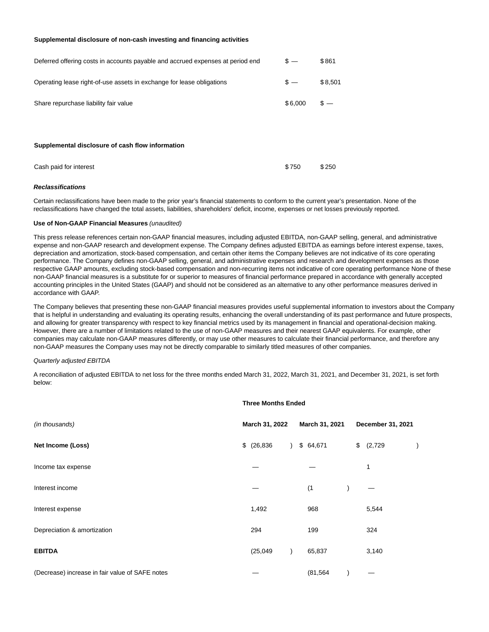#### **Supplemental disclosure of non-cash investing and financing activities**

| Deferred offering costs in accounts payable and accrued expenses at period end | $s -$   | \$861   |
|--------------------------------------------------------------------------------|---------|---------|
| Operating lease right-of-use assets in exchange for lease obligations          | $s -$   | \$8,501 |
| Share repurchase liability fair value                                          | \$6.000 | $s -$   |
|                                                                                |         |         |
| Supplemental disclosure of cash flow information                               |         |         |
| Cash paid for interest                                                         | \$750   | \$250   |

#### **Reclassifications**

Certain reclassifications have been made to the prior year's financial statements to conform to the current year's presentation. None of the reclassifications have changed the total assets, liabilities, shareholders' deficit, income, expenses or net losses previously reported.

## **Use of Non-GAAP Financial Measures** (unaudited)

This press release references certain non-GAAP financial measures, including adjusted EBITDA, non-GAAP selling, general, and administrative expense and non-GAAP research and development expense. The Company defines adjusted EBITDA as earnings before interest expense, taxes, depreciation and amortization, stock-based compensation, and certain other items the Company believes are not indicative of its core operating performance. The Company defines non-GAAP selling, general, and administrative expenses and research and development expenses as those respective GAAP amounts, excluding stock-based compensation and non-recurring items not indicative of core operating performance None of these non-GAAP financial measures is a substitute for or superior to measures of financial performance prepared in accordance with generally accepted accounting principles in the United States (GAAP) and should not be considered as an alternative to any other performance measures derived in accordance with GAAP.

The Company believes that presenting these non-GAAP financial measures provides useful supplemental information to investors about the Company that is helpful in understanding and evaluating its operating results, enhancing the overall understanding of its past performance and future prospects, and allowing for greater transparency with respect to key financial metrics used by its management in financial and operational-decision making. However, there are a number of limitations related to the use of non-GAAP measures and their nearest GAAP equivalents. For example, other companies may calculate non-GAAP measures differently, or may use other measures to calculate their financial performance, and therefore any non-GAAP measures the Company uses may not be directly comparable to similarly titled measures of other companies.

#### Quarterly adjusted EBITDA

A reconciliation of adjusted EBITDA to net loss for the three months ended March 31, 2022, March 31, 2021, and December 31, 2021, is set forth below:

|                                                 | <b>Three Months Ended</b> |           |                |                   |  |
|-------------------------------------------------|---------------------------|-----------|----------------|-------------------|--|
| (in thousands)                                  | March 31, 2022            |           | March 31, 2021 | December 31, 2021 |  |
| Net Income (Loss)                               | \$ (26,836)               | $\lambda$ | \$64,671       | \$ (2,729)        |  |
| Income tax expense                              |                           |           |                | 1                 |  |
| Interest income                                 |                           |           | (1)            |                   |  |
| Interest expense                                | 1,492                     |           | 968            | 5,544             |  |
| Depreciation & amortization                     | 294                       |           | 199            | 324               |  |
| <b>EBITDA</b>                                   | (25,049)                  |           | 65,837         | 3,140             |  |
| (Decrease) increase in fair value of SAFE notes |                           |           | (81, 564)      |                   |  |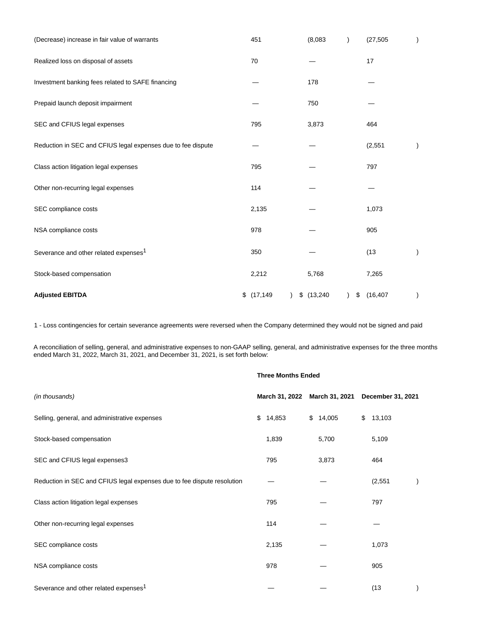| (Decrease) increase in fair value of warrants                | 451         | (8,083)                 | (27, 505)       |  |
|--------------------------------------------------------------|-------------|-------------------------|-----------------|--|
| Realized loss on disposal of assets                          | 70          |                         | 17              |  |
| Investment banking fees related to SAFE financing            |             | 178                     |                 |  |
| Prepaid launch deposit impairment                            |             | 750                     |                 |  |
| SEC and CFIUS legal expenses                                 | 795         | 3,873                   | 464             |  |
| Reduction in SEC and CFIUS legal expenses due to fee dispute |             |                         | (2, 551)        |  |
| Class action litigation legal expenses                       | 795         |                         | 797             |  |
| Other non-recurring legal expenses                           | 114         |                         |                 |  |
| SEC compliance costs                                         | 2,135       |                         | 1,073           |  |
| NSA compliance costs                                         | 978         |                         | 905             |  |
| Severance and other related expenses <sup>1</sup>            | 350         |                         | (13)            |  |
| Stock-based compensation                                     | 2,212       | 5,768                   | 7,265           |  |
| <b>Adjusted EBITDA</b>                                       | \$(17, 149) | \$(13,240)<br>$\lambda$ | \$<br>(16, 407) |  |

1 - Loss contingencies for certain severance agreements were reversed when the Company determined they would not be signed and paid

A reconciliation of selling, general, and administrative expenses to non-GAAP selling, general, and administrative expenses for the three months ended March 31, 2022, March 31, 2021, and December 31, 2021, is set forth below:

# **Three Months Ended**

| (in thousands)                                                          |    |        | March 31, 2022 March 31, 2021 December 31, 2021 |        |              |  |
|-------------------------------------------------------------------------|----|--------|-------------------------------------------------|--------|--------------|--|
| Selling, general, and administrative expenses                           | \$ | 14,853 | \$                                              | 14,005 | \$<br>13,103 |  |
| Stock-based compensation                                                |    | 1,839  |                                                 | 5,700  | 5,109        |  |
| SEC and CFIUS legal expenses3                                           |    | 795    |                                                 | 3,873  | 464          |  |
| Reduction in SEC and CFIUS legal expenses due to fee dispute resolution |    |        |                                                 |        | (2,551)      |  |
| Class action litigation legal expenses                                  |    | 795    |                                                 |        | 797          |  |
| Other non-recurring legal expenses                                      |    | 114    |                                                 |        |              |  |
| SEC compliance costs                                                    |    | 2,135  |                                                 |        | 1,073        |  |
| NSA compliance costs                                                    |    | 978    |                                                 |        | 905          |  |
| Severance and other related expenses <sup>1</sup>                       |    |        |                                                 |        | (13)         |  |